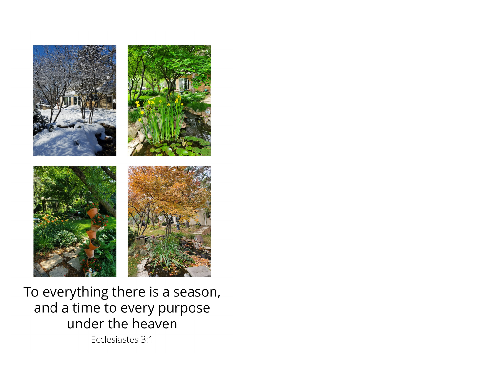

To everything there is a season, and a time to every purpose under the heaven

Ecclesiastes 3:1